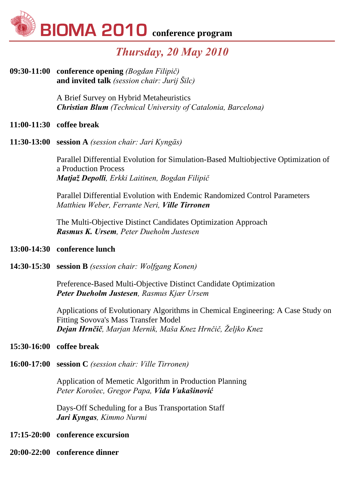

## *Thursday, 20 May 2010*

**09:30-11:00 conference opening** *(Bogdan Filipič)* **and invited talk** *(session chair: Jurij Šilc)*

> A Brief Survey on Hybrid Metaheuristics *Christian Blum (Technical University of Catalonia, Barcelona)*

#### **11:00-11:30 coffee break**

**11:30-13:00 session A** *(session chair: Jari Kyngäs)*

Parallel Differential Evolution for Simulation-Based Multiobjective Optimization of a Production Process *Matjaž Depolli, Erkki Laitinen, Bogdan Filipič*

Parallel Differential Evolution with Endemic Randomized Control Parameters *Matthieu Weber, Ferrante Neri, Ville Tirronen*

The Multi-Objective Distinct Candidates Optimization Approach *Rasmus K. Ursem, Peter Dueholm Justesen*

#### **13:00-14:30 conference lunch**

**14:30-15:30 session B** *(session chair: Wolfgang Konen)* 

Preference-Based Multi-Objective Distinct Candidate Optimization *Peter Dueholm Justesen, Rasmus Kjær Ursem*

Applications of Evolutionary Algorithms in Chemical Engineering: A Case Study on Fitting Sovova's Mass Transfer Model *Dejan Hrnčič, Marjan Mernik, Maša Knez Hrnčič, Željko Knez*

#### **15:30-16:00 coffee break**

**16:00-17:00 session C** *(session chair: Ville Tirronen)*

Application of Memetic Algorithm in Production Planning *Peter Korošec, Gregor Papa, Vida Vukašinović*

Days-Off Scheduling for a Bus Transportation Staff *Jari Kyngas, Kimmo Nurmi*

#### **17:15-20:00 conference excursion**

**20:00-22:00 conference dinner**